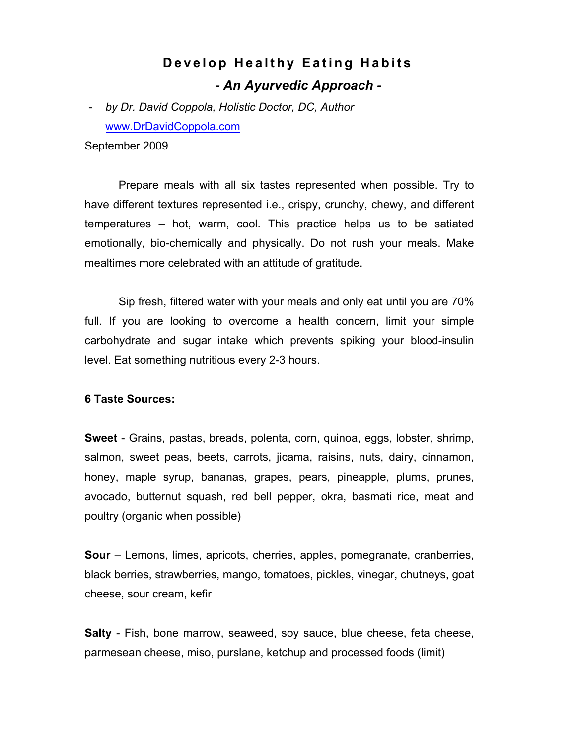## **Develop Healthy Eating Habits** *- An Ayurvedic Approach -*

- *by Dr. David Coppola, Holistic Doctor, DC, Author* www.DrDavidCoppola.com

September 2009

Prepare meals with all six tastes represented when possible. Try to have different textures represented i.e., crispy, crunchy, chewy, and different temperatures – hot, warm, cool. This practice helps us to be satiated emotionally, bio-chemically and physically. Do not rush your meals. Make mealtimes more celebrated with an attitude of gratitude.

Sip fresh, filtered water with your meals and only eat until you are 70% full. If you are looking to overcome a health concern, limit your simple carbohydrate and sugar intake which prevents spiking your blood-insulin level. Eat something nutritious every 2-3 hours.

## **6 Taste Sources:**

**Sweet** - Grains, pastas, breads, polenta, corn, quinoa, eggs, lobster, shrimp, salmon, sweet peas, beets, carrots, jicama, raisins, nuts, dairy, cinnamon, honey, maple syrup, bananas, grapes, pears, pineapple, plums, prunes, avocado, butternut squash, red bell pepper, okra, basmati rice, meat and poultry (organic when possible)

**Sour** – Lemons, limes, apricots, cherries, apples, pomegranate, cranberries, black berries, strawberries, mango, tomatoes, pickles, vinegar, chutneys, goat cheese, sour cream, kefir

**Salty** - Fish, bone marrow, seaweed, soy sauce, blue cheese, feta cheese, parmesean cheese, miso, purslane, ketchup and processed foods (limit)